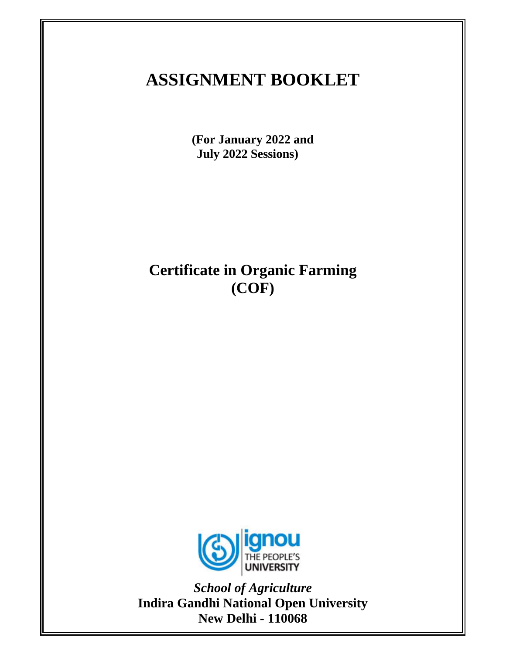# **ASSIGNMENT BOOKLET**

**(For January 2022 and July 2022 Sessions)** 

**Certificate in Organic Farming (COF)** 



*School of Agriculture*  **Indira Gandhi National Open University New Delhi - 110068**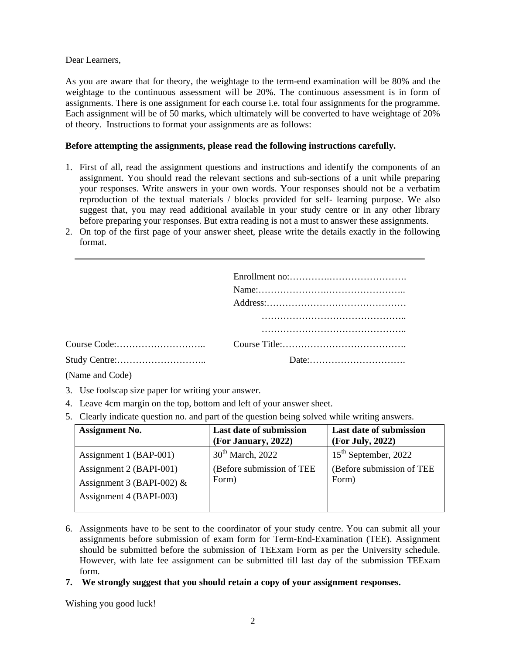Dear Learners,

As you are aware that for theory, the weightage to the term-end examination will be 80% and the weightage to the continuous assessment will be 20%. The continuous assessment is in form of assignments. There is one assignment for each course i.e. total four assignments for the programme. Each assignment will be of 50 marks, which ultimately will be converted to have weightage of 20% of theory. Instructions to format your assignments are as follows:

## **Before attempting the assignments, please read the following instructions carefully.**

- 1. First of all, read the assignment questions and instructions and identify the components of an assignment. You should read the relevant sections and sub-sections of a unit while preparing your responses. Write answers in your own words. Your responses should not be a verbatim reproduction of the textual materials / blocks provided for self- learning purpose. We also suggest that, you may read additional available in your study centre or in any other library before preparing your responses. But extra reading is not a must to answer these assignments.
- 2. On top of the first page of your answer sheet, please write the details exactly in the following format.

(Name and Code)

- 3. Use foolscap size paper for writing your answer.
- 4. Leave 4cm margin on the top, bottom and left of your answer sheet.
- 5. Clearly indicate question no. and part of the question being solved while writing answers.

| <b>Assignment No.</b>                                  | <b>Last date of submission</b><br>(For January, 2022) | <b>Last date of submission</b><br>(For July, 2022) |
|--------------------------------------------------------|-------------------------------------------------------|----------------------------------------------------|
| Assignment 1 (BAP-001)                                 | $30th$ March, 2022                                    | $15th$ September, 2022                             |
| Assignment 2 (BAPI-001)<br>Assignment 3 (BAPI-002) $&$ | (Before submission of TEE<br>Form)                    | (Before submission of TEE)<br>Form)                |
| Assignment 4 (BAPI-003)                                |                                                       |                                                    |

- 6. Assignments have to be sent to the coordinator of your study centre. You can submit all your assignments before submission of exam form for Term-End-Examination (TEE). Assignment should be submitted before the submission of TEExam Form as per the University schedule. However, with late fee assignment can be submitted till last day of the submission TEExam form.
- **7. We strongly suggest that you should retain a copy of your assignment responses.**

Wishing you good luck!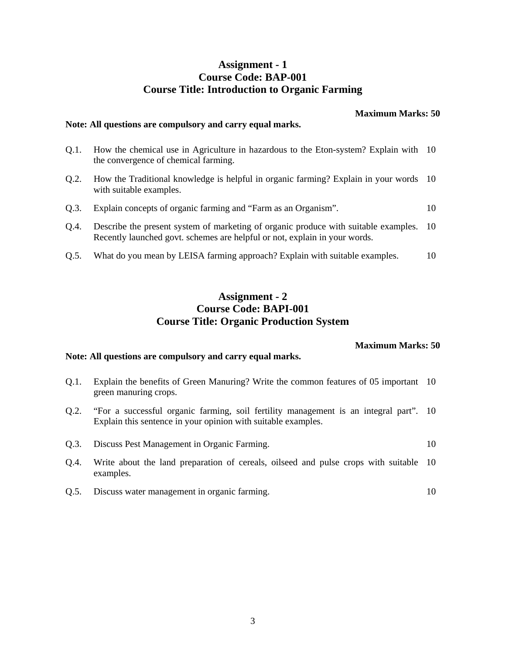## **Assignment - 1 Course Code: BAP-001 Course Title: Introduction to Organic Farming**

**Maximum Marks: 50** 

## **Note: All questions are compulsory and carry equal marks.**

- Q.1. How the chemical use in Agriculture in hazardous to the Eton-system? Explain with 10 the convergence of chemical farming.
- Q.2. How the Traditional knowledge is helpful in organic farming? Explain in your words 10 with suitable examples.
- Q.3. Explain concepts of organic farming and "Farm as an Organism". 10
- Q.4. Describe the present system of marketing of organic produce with suitable examples. Recently launched govt. schemes are helpful or not, explain in your words. 10
- Q.5. What do you mean by LEISA farming approach? Explain with suitable examples. 10

## **Assignment - 2 Course Code: BAPI-001 Course Title: Organic Production System**

#### **Maximum Marks: 50**

## **Note: All questions are compulsory and carry equal marks.**

- Q.1. Explain the benefits of Green Manuring? Write the common features of 05 important 10 green manuring crops.
- Q.2. "For a successful organic farming, soil fertility management is an integral part". 10 Explain this sentence in your opinion with suitable examples.
- Q.3. Discuss Pest Management in Organic Farming. 10
- Q.4. Write about the land preparation of cereals, oilseed and pulse crops with suitable examples. 10
- Q.5. Discuss water management in organic farming. 10